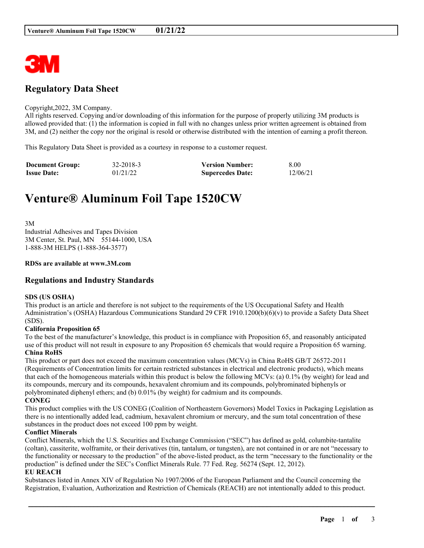

# **Regulatory Data Sheet**

#### Copyright,2022, 3M Company.

All rights reserved. Copying and/or downloading of this information for the purpose of properly utilizing 3M products is allowed provided that: (1) the information is copied in full with no changes unless prior written agreement is obtained from 3M, and (2) neither the copy nor the original is resold or otherwise distributed with the intention of earning a profit thereon.

This Regulatory Data Sheet is provided as a courtesy in response to a customer request.

| <b>Document Group:</b> | 32-2018-3 | <b>Version Number:</b>  | 8.00     |
|------------------------|-----------|-------------------------|----------|
| <b>Issue Date:</b>     | 01/21/22  | <b>Supercedes Date:</b> | 12/06/21 |

# **Venture® Aluminum Foil Tape 1520CW**

3M Industrial Adhesives and Tapes Division 3M Center, St. Paul, MN 55144-1000, USA 1-888-3M HELPS (1-888-364-3577)

#### **RDSs are available at www.3M.com**

# **Regulations and Industry Standards**

#### **SDS (US OSHA)**

This product is an article and therefore is not subject to the requirements of the US Occupational Safety and Health Administration's (OSHA) Hazardous Communications Standard 29 CFR 1910.1200(b)(6)(v) to provide a Safety Data Sheet (SDS).

#### **California Proposition 65**

To the best of the manufacturer's knowledge, this product is in compliance with Proposition 65, and reasonably anticipated use of this product will not result in exposure to any Proposition 65 chemicals that would require a Proposition 65 warning. **China RoHS**

This product or part does not exceed the maximum concentration values (MCVs) in China RoHS GB/T 26572-2011 (Requirements of Concentration limits for certain restricted substances in electrical and electronic products), which means that each of the homogeneous materials within this product is below the following MCVs: (a) 0.1% (by weight) for lead and its compounds, mercury and its compounds, hexavalent chromium and its compounds, polybrominated biphenyls or polybrominated diphenyl ethers; and (b) 0.01% (by weight) for cadmium and its compounds. **CONEG**

This product complies with the US CONEG (Coalition of Northeastern Governors) Model Toxics in Packaging Legislation as there is no intentionally added lead, cadmium, hexavalent chromium or mercury, and the sum total concentration of these substances in the product does not exceed 100 ppm by weight.

#### **Conflict Minerals**

Conflict Minerals, which the U.S. Securities and Exchange Commission ("SEC") has defined as gold, columbite-tantalite (coltan), cassiterite, wolframite, or their derivatives (tin, tantalum, or tungsten), are not contained in or are not "necessary to the functionality or necessary to the production" of the above-listed product, as the term "necessary to the functionality or the production" is defined under the SEC's Conflict Minerals Rule. 77 Fed. Reg. 56274 (Sept. 12, 2012).

#### **EU REACH**

Substances listed in Annex XIV of Regulation No 1907/2006 of the European Parliament and the Council concerning the Registration, Evaluation, Authorization and Restriction of Chemicals (REACH) are not intentionally added to this product.

\_\_\_\_\_\_\_\_\_\_\_\_\_\_\_\_\_\_\_\_\_\_\_\_\_\_\_\_\_\_\_\_\_\_\_\_\_\_\_\_\_\_\_\_\_\_\_\_\_\_\_\_\_\_\_\_\_\_\_\_\_\_\_\_\_\_\_\_\_\_\_\_\_\_\_\_\_\_\_\_\_\_\_\_\_\_\_\_\_\_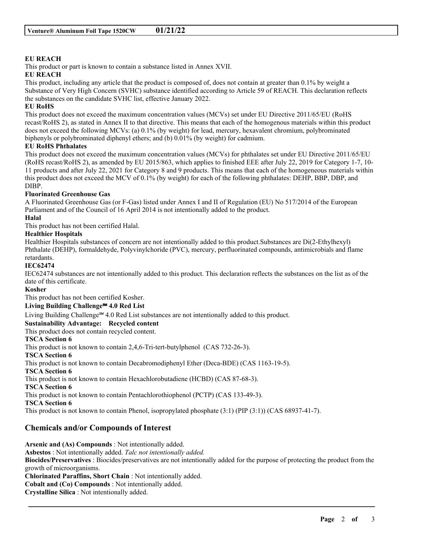### **EU REACH**

This product or part is known to contain a substance listed in Annex XVII. **EU REACH**

This product, including any article that the product is composed of, does not contain at greater than 0.1% by weight a Substance of Very High Concern (SVHC) substance identified according to Article 59 of REACH. This declaration reflects the substances on the candidate SVHC list, effective January 2022.

#### **EU RoHS**

This product does not exceed the maximum concentration values (MCVs) set under EU Directive 2011/65/EU (RoHS recast/RoHS 2), as stated in Annex II to that directive. This means that each of the homogenous materials within this product does not exceed the following MCVs: (a) 0.1% (by weight) for lead, mercury, hexavalent chromium, polybrominated biphenyls or polybrominated diphenyl ethers; and (b) 0.01% (by weight) for cadmium.

#### **EU RoHS Phthalates**

This product does not exceed the maximum concentration values (MCVs) for phthalates set under EU Directive 2011/65/EU (RoHS recast/RoHS 2), as amended by EU 2015/863, which applies to finished EEE after July 22, 2019 for Category 1-7, 10- 11 products and after July 22, 2021 for Category 8 and 9 products. This means that each of the homogeneous materials within this product does not exceed the MCV of 0.1% (by weight) for each of the following phthalates: DEHP, BBP, DBP, and DIBP.

#### **Fluorinated Greenhouse Gas**

A Fluorinated Greenhouse Gas (or F-Gas) listed under Annex I and II of Regulation (EU) No 517/2014 of the European Parliament and of the Council of 16 April 2014 is not intentionally added to the product.

#### **Halal**

This product has not been certified Halal.

#### **Healthier Hospitals**

Healthier Hospitals substances of concern are not intentionally added to this product.Substances are Di(2-Ethylhexyl) Phthalate (DEHP), formaldehyde, Polyvinylchoride (PVC), mercury, perfluorinated compounds, antimicrobials and flame retardants.

#### **IEC62474**

IEC62474 substances are not intentionally added to this product. This declaration reflects the substances on the list as of the date of this certificate.

## **Kosher**

This product has not been certified Kosher.

# **Living Building Challenge℠ 4.0 Red List**

Living Building Challenge℠ 4.0 Red List substances are not intentionally added to this product.

#### **Sustainability Advantage: Recycled content**

This product does not contain recycled content.

# **TSCA Section 6**

This product is not known to contain 2,4,6-Tri-tert-butylphenol (CAS 732-26-3).

**TSCA Section 6**

This product is not known to contain Decabromodiphenyl Ether (Deca-BDE) (CAS 1163-19-5).

#### **TSCA Section 6**

This product is not known to contain Hexachlorobutadiene (HCBD) (CAS 87-68-3).

**TSCA Section 6**

This product is not known to contain Pentachlorothiophenol (PCTP) (CAS 133-49-3).

**TSCA Section 6**

This product is not known to contain Phenol, isopropylated phosphate (3:1) (PIP (3:1)) (CAS 68937-41-7).

# **Chemicals and/or Compounds of Interest**

**Arsenic and (As) Compounds** : Not intentionally added. **Asbestos** : Not intentionally added. *Talc not intentionally added.* **Biocides/Preservatives** : Biocides/preservatives are not intentionally added for the purpose of protecting the product from the growth of microorganisms. **Chlorinated Paraffins, Short Chain** : Not intentionally added. **Cobalt and (Co) Compounds** : Not intentionally added. **Crystalline Silica** : Not intentionally added.

\_\_\_\_\_\_\_\_\_\_\_\_\_\_\_\_\_\_\_\_\_\_\_\_\_\_\_\_\_\_\_\_\_\_\_\_\_\_\_\_\_\_\_\_\_\_\_\_\_\_\_\_\_\_\_\_\_\_\_\_\_\_\_\_\_\_\_\_\_\_\_\_\_\_\_\_\_\_\_\_\_\_\_\_\_\_\_\_\_\_